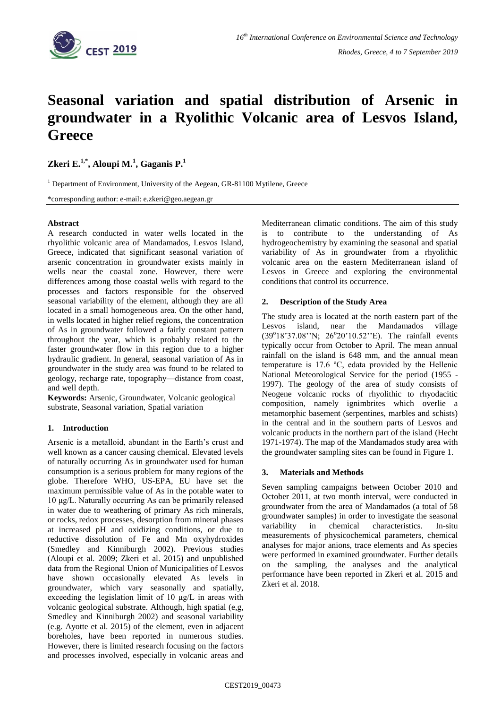

# **Seasonal variation and spatial distribution of Arsenic in groundwater in a Ryolithic Volcanic area of Lesvos Island, Greece**

**Zkeri E.1,\* , Aloupi M.<sup>1</sup> , Gaganis P.<sup>1</sup>**

 $1$  Department of Environment, University of the Aegean, GR-81100 Mytilene, Greece

\*corresponding author: e-mail: e.zkeri@geo.aegean.gr

## **Abstract**

A research conducted in water wells located in the rhyolithic volcanic area of Mandamados, Lesvos Island, Greece, indicated that significant seasonal variation of arsenic concentration in groundwater exists mainly in wells near the coastal zone. However, there were differences among those coastal wells with regard to the processes and factors responsible for the observed seasonal variability of the element, although they are all located in a small homogeneous area. On the other hand, in wells located in higher relief regions, the concentration of As in groundwater followed a fairly constant pattern throughout the year, which is probably related to the faster groundwater flow in this region due to a higher hydraulic gradient. In general, seasonal variation of As in groundwater in the study area was found to be related to geology, recharge rate, topography—distance from coast, and well depth.

**Keywords:** Arsenic, Groundwater, Volcanic geological substrate, Seasonal variation, Spatial variation

## **1. Introduction**

Arsenic is a metalloid, abundant in the Earth's crust and well known as a cancer causing chemical. Elevated levels of naturally occurring As in groundwater used for human consumption is a serious problem for many regions of the globe. Therefore WHO, US-EPA, EU have set the maximum permissible value of As in the potable water to 10 μg/L. Naturally occurring As can be primarily released in water due to weathering of primary As rich minerals, or rocks, redox processes, desorption from mineral phases at increased pH and oxidizing conditions, or due to reductive dissolution of Fe and Mn oxyhydroxides (Smedley and Kinniburgh 2002). Previous studies (Aloupi et al*.* 2009; Zkeri et al. 2015) and unpublished data from the Regional Union of Municipalities of Lesvos have shown occasionally elevated As levels in groundwater, which vary seasonally and spatially, exceeding the legislation limit of 10 μg/L in areas with volcanic geological substrate. Although, high spatial (e,g, Smedley and Kinniburgh 2002) and seasonal variability (e.g. Ayotte et al. 2015) of the element, even in adjacent boreholes, have been reported in numerous studies. However, there is limited research focusing on the factors and processes involved, especially in volcanic areas and Mediterranean climatic conditions. The aim of this study to contribute to the understanding of As hydrogeochemistry by examining the seasonal and spatial variability of As in groundwater from a rhyolithic volcanic area on the eastern Mediterranean island of Lesvos in Greece and exploring the environmental conditions that control its occurrence.

## **2. Description of the Study Area**

The study area is located at the north eastern part of the Lesvos island, near the Mandamados village (39°18'37.08''N; 26°20'10.52"E). The rainfall events typically occur from October to April. The mean annual rainfall on the island is 648 mm, and the annual mean temperature is 17.6 ºC, edata provided by the Hellenic National Meteorological Service for the period (1955 - 1997). The geology of the area of study consists of Neogene volcanic rocks of rhyolithic to rhyodacitic composition, namely ignimbrites which overlie a metamorphic basement (serpentines, marbles and schists) in the central and in the southern parts of Lesvos and volcanic products in the northern part of the island (Hecht 1971-1974). The map of the Mandamados study area with the groundwater sampling sites can be found in Figure 1.

## **3. Materials and Methods**

Seven sampling campaigns between October 2010 and October 2011, at two month interval, were conducted in groundwater from the area of Mandamados (a total of 58 groundwater samples) in order to investigate the seasonal variability in chemical characteristics. In-situ measurements of physicochemical parameters, chemical analyses for major anions, trace elements and As species were performed in examined groundwater. Further details on the sampling, the analyses and the analytical performance have been reported in Zkeri et al. 2015 and Zkeri et al. 2018.